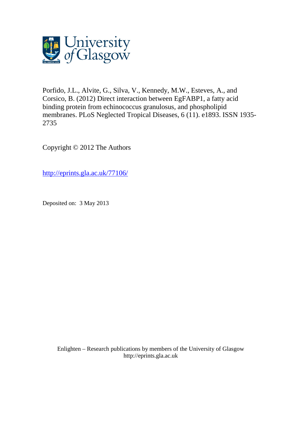

Porfido, J.L., Alvite, G., Silva, V., Kennedy, M.W., Esteves, A., and Corsico, B. (2012) Direct interaction between EgFABP1, a fatty acid binding protein from echinococcus granulosus, and phospholipid membranes. PLoS Neglected Tropical Diseases, 6 (11). e1893. ISSN 1935- 2735

Copyright © 2012 The Authors

[http://eprints.gla.ac.uk/77106/](http://eprints.gla.ac.uk/77298/)

Deposited on: 3 May 2013

Enlighten – Research publications by members of the University of Glasgo[w](http://eprints.gla.ac.uk/) [http://eprints.gla.ac.uk](http://eprints.gla.ac.uk/)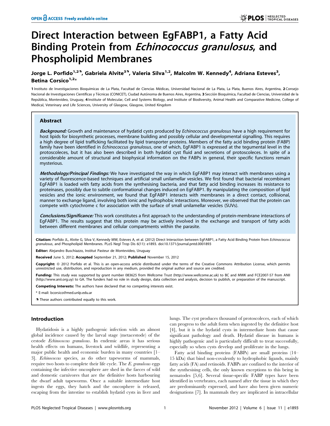# Direct Interaction between EgFABP1, a Fatty Acid Binding Protein from Echinococcus granulosus, and Phospholipid Membranes

# Jorge L. Porfido<sup>1,29</sup>, Gabriela Alvite<sup>39</sup>, Valeria Silva<sup>1,2</sup>, Malcolm W. Kennedy<sup>4</sup>, Adriana Esteves<sup>3</sup>, Betina Corsico $1/2*$

1 Instituto de Investigaciones Bioquímicas de La Plata, Facultad de Ciencias Médicas, Universidad Nacional de La Plata, La Plata, Buenos Aires, Argentina, 2 Consejo Nacional de Investigaciones Científicas y Técnicas (CONICET), Ciudad Autónoma de Buenos Aires, Argentina, 3 Sección Bioquímica, Facultad de Ciencias, Universidad de la República, Montevideo, Uruguay, 4 Institute of Molecular, Cell and Systems Biology, and Institute of Biodiversity, Animal Health and Comparative Medicine, College of Medical, Veterinary and Life Sciences, University of Glasgow, Glasgow, United Kingdom

# Abstract

Background: Growth and maintenance of hydatid cysts produced by Echinococcus granulosus have a high requirement for host lipids for biosynthetic processes, membrane building and possibly cellular and developmental signalling. This requires a high degree of lipid trafficking facilitated by lipid transporter proteins. Members of the fatty acid binding protein (FABP) family have been identified in Echinococcus granulosus, one of which, EgFABP1 is expressed at the tegumental level in the protoscoleces, but it has also been described in both hydatid cyst fluid and secretions of protoscoleces. In spite of a considerable amount of structural and biophysical information on the FABPs in general, their specific functions remain mysterious.

Methodology/Principal Findings: We have investigated the way in which EgFABP1 may interact with membranes using a variety of fluorescence-based techniques and artificial small unilamellar vesicles. We first found that bacterial recombinant EgFABP1 is loaded with fatty acids from the synthesising bacteria, and that fatty acid binding increases its resistance to proteinases, possibly due to subtle conformational changes induced on EgFABP1. By manipulating the composition of lipid vesicles and the ionic environment, we found that EgFABP1 interacts with membranes in a direct contact, collisional, manner to exchange ligand, involving both ionic and hydrophobic interactions. Moreover, we observed that the protein can compete with cytochrome c for association with the surface of small unilamellar vesicles (SUVs).

Conclusions/Significance: This work constitutes a first approach to the understanding of protein-membrane interactions of EgFABP1. The results suggest that this protein may be actively involved in the exchange and transport of fatty acids between different membranes and cellular compartments within the parasite.

Citation: Porfido JL, Alvite G, Silva V, Kennedy MW, Esteves A, et al. (2012) Direct Interaction between EgFABP1, a Fatty Acid Binding Protein from Echinococcus granulosus, and Phospholipid Membranes. PLoS Negl Trop Dis 6(11): e1893. doi:10.1371/journal.pntd.0001893

Editor: Alejandro Buschiazzo, Institut Pasteur de Montevideo, Uruguay

Received June 5, 2012; Accepted September 21, 2012; Published November 15, 2012

Copyright: © 2012 Porfido et al. This is an open-access article distributed under the terms of the Creative Commons Attribution License, which permits unrestricted use, distribution, and reproduction in any medium, provided the original author and source are credited.

Funding: This study was supported by grant number 083625 from Wellcome Trust (http://www.wellcome.ac.uk) to BC and MWK and FCE2007-57 from ANII (http://www.anii.org.uy) to GA. The funders had no role in study design, data collection and analysis, decision to publish, or preparation of the manuscript.

Competing Interests: The authors have declared that no competing interests exist.

\* E-mail: bcorsico@med.unlp.edu.ar

**.** These authors contributed equally to this work.

#### Introduction

Hydatidosis is a highly pathogenic infection with an almost global incidence caused by the larval stage (metacestode) of the cestode Echinococcus granulosus. In endemic areas it has serious health effects on humans, livestock and wildlife, representing a major public health and economic burden in many countries [1– 3]. Echinococcus species, as do other tapeworms of mammals, require two hosts to complete their life cycle. The E. granulosus eggs containing the infective oncosphere are shed in the faeces of wild and domestic carnivores that are the definitive hosts harbouring the dwarf adult tapeworms. Once a suitable intermediate host ingests the eggs, they hatch and the oncosphere is released, escaping from the intestine to establish hydatid cysts in liver and

lungs. The cyst produces thousand of protoscoleces, each of which can progress to the adult form when ingested by the definitive host [4], but it is the hydatid cysts in intermediate hosts that cause significant pathology and death. Hydatid disease in humans is highly pathogenic and is particularly difficult to treat successfully, especially so when cysts develop and proliferate in the lungs.

Fatty acid binding proteins (FABPs) are small proteins (14– 15 kDa) that bind non-covalently to hydrophobic ligands, mainly fatty acids (FA) and retinoids. FABPs are confined to the interior of the synthesising cells, the only known exceptions to this being in nematodes [5,6]. Several tissue-specific FABP types have been identified in vertebrates, each named after the tissue in which they are predominantly expressed, and have also been given numeric designations [7]. In mammals they are implicated in intracellular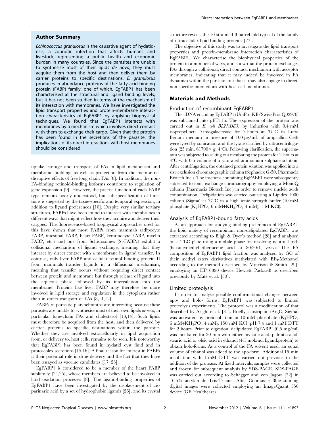#### Author Summary

Echinococcus granulosus is the causative agent of hydatidosis, a zoonotic infection that affects humans and livestock, representing a public health and economic burden in many countries. Since the parasites are unable to synthesise most of their lipids de novo, they must acquire them from the host and then deliver them by carrier proteins to specific destinations. E. granulosus produces in abundance proteins of the fatty acid binding protein (FABP) family, one of which, EgFABP1 has been characterised at the structural and ligand binding levels, but it has not been studied in terms of the mechanism of its interaction with membranes. We have investigated the lipid transport properties and protein-membrane interaction characteristics of EgFABP1 by applying biophysical techniques. We found that EgFABP1 interacts with membranes by a mechanism which involves direct contact with them to exchange their cargo. Given that the protein has been found in the secretions of the parasite, the implications of its direct interactions with host membranes should be considered.

uptake, storage and transport of FAs in lipid metabolism and membrane building, as well as protection from the membranedisruptive effects of free long chain FAs [8]. In addition, the non-FA-binding retinoid-binding isoforms contribute to regulation of gene expression [9]. However, the precise function of each FABP type remains poorly understood, but sub-specialization of functions is suggested by the tissue-specific and temporal expression, in addition to ligand preferences [10]. Despite very similar tertiary structures, FABPs have been found to interact with membranes in different ways that might reflect how they acquire and deliver their cargoes. The fluorescence-based biophysical approaches used for this have shown that most FABPs from mammals (adipocyte FABP, intestinal FABP, heart FABP, keratinocyte FABP, myelin FABP, etc.) and one from Schistosomes (Sj-FABPc) exhibit a collisional mechanism of ligand exchange, meaning that they interact by direct contact with a membrane in ligand transfer. In contrast, only liver FABP and cellular retinol binding protein II from mammals transfer ligands in a diffusional mechanism, meaning that transfer occurs without requiring direct contact between protein and membrane but through release of ligand into the aqueous phase followed by its intercalation into the membrane. Proteins like liver FABP may therefore be more involved in lipid storage and regulation in the cytoplasm rather than in direct transport of FAs [8,11,12].

FABPs of parasitic platyhelminths are interesting because these parasites are unable to synthesise most of their own lipids de novo, in particular long-chain FAs and cholesterol [13,14]. Such lipids must therefore be acquired from the host, and then delivered by carrier proteins to specific destinations within the parasite. Whether they are involved extracellularly in lipid acquisition from, or delivery to, host cells, remains to be seen. It is noteworthy that EgFABP1 has been found in hydatid cyst fluid and in protoscolex secretions [15,16]. A final reason for interest in FABPs is their potential role in drug delivery and the fact that they have been assayed as vaccine candidates [17–23].

EgFABP1 is considered to be a member of the heart FABP subfamily [24,25], whose members are believed to be involved in lipid oxidation processes [8]. The ligand-binding properties of EgFABP1 have been investigated by the displacement of cisparinaric acid by a set of hydrophobic ligands [26], and its crystal structure reveals the 10-stranded  $\beta$ -barrel fold typical of the family of intracellular lipid-binding proteins [27].

The objective of this study was to investigate the lipid transport properties and protein-membrane interaction characteristics of EgFABP1. We characterise the biophysical properties of the protein in a number of ways, and show that the protein exchanges FAs through a collisional, direct contact, mechanism with acceptor membranes, indicating that it may indeed be involved in FA dynamics within the parasite, but that it may also engage in direct, non-specific interactions with host cell membranes.

#### Materials and Methods

#### Production of recombinant EgFABP1

The cDNA encoding EgFABP1 (UniProtKB/Swiss-Prot Q02970) was subcloned into pET11b. The expression of the protein was carried out in E. coli BL21(DE3) by induction with 0.4 mM isopropyl-beta-D-thiogalactoside for 3 hours at  $37^{\circ}$ C in Luria Bertani medium in presence of 100  $\mu$ g/mL of ampicillin. Cells were lysed by sonication and the lysate clarified by ultracentrifugation (25 min,  $61700 \times$  g,  $4^{\circ}$ C). Following clarification, the supernatant was subjected to salting out incubating the protein for 2 hours at  $4^{\circ}$ C with 0.5 volume of a saturated ammonium sulphate solution. After centrifugation, the obtained protein solution was applied into a size exclusion chromatographic column (Sephadex G-50, Pharmacia Biotech Inc.). The fractions containing EgFABP1 were subsequently subjected to ionic exchange chromatography employing a MonoQ column (Pharmacia Biotech Inc.) in order to remove nucleic acids contamination. Delipidation was carried out using a Lipidex 1000 column (Sigma) at  $37^{\circ}$ C in a high ionic strength buffer (10 mM phosphate  $(K_2HPO_4 6 mM+KH_2PO_4 4 mM$ , 1 M KCl).

#### Analysis of EgFABP1-bound fatty acids

As an approach for studying binding preferences of EgFABP1, the lipid moiety of recombinant non-delipidated EgFABP1 was extracted according to Bligh & Dyer's method [28] and analysed on a TLC plate using a mobile phase for resolving neutral lipids (hexane:diethyl-ether:acetic acid at 80:20:1, v:v:v). The FA composition of EgFABP1 lipid fraction was analysed by GC of their methyl esters derivatives methylated with  $BF_3$ -Methanol according to the method described by Morrison & Smith [29], employing an HP 6890 device Hewlett Packard) as described previously by Maté et al. [30].

### Limited proteolysis

In order to analyse possible conformational changes between apo- and holo- forms, EgFABP1 was subjected to limited proteolysis experiments. The protocol was a modification of that described by Arighi et al. [31]. Briefly, clostripain (ArgC, Sigma) was activated by preincubation in 10 mM phosphate  $(K_2HPO_4)$ 6 mM+KH2PO4 4 mM), 150 mM KCl, pH 7.4 and 1 mM DTT for 2 hours. Prior to digestion, delipidated EgFABP1 (0,5 mg/ml) was incubated for 30 min with either myristic acid, palmitic acid, stearic acid or oleic acid in ethanol (4:1 mol:mol ligand:protein) to obtain holo-forms. As a control of the FA solvent used, an equal volume of ethanol was added to the apo-form. Additional 15 min incubation with 1 mM DTT was carried out previous to the addition of the protease. At fixed intervals, samples were collected and frozen for subsequent analysis by SDS-PAGE. SDS-PAGE was carried out according to Schägger and von Jagow [32] in 16.5% acrylamide Tris-Tricine. After Coomassie Blue staining digital images were collected employing an ImageQuant 350 device (GE Healthcare).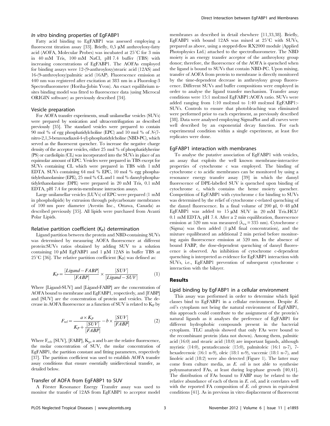#### In vitro binding properties of EgFABP1

Fatty acid binding to EgFABP1 was assessed employing a fluorescent titration assay [33]. Briefly,  $0.5 \mu M$  anthroyloxy-fatty acid (AOFA, Molecular Probes) was incubated at  $25^{\circ}$ C for 3 min in 40 mM Tris, 100 mM NaCl, pH 7.4 buffer (TBS) with increasing concentrations of EgFABP1. The AOFAs employed for binding assays were 12-(9-anthroyloxy)stearic acid (12AS) and 16-(9-anthroyloxy)palmitic acid (16AP). Fluorescence emission at 440 nm was registered after excitation at 383 nm in a Fluorolog-3 Spectrofluorometer (Horiba-Jobin Yvon). An exact equilibrium nsites binding model was fitted to fluorescence data (using Microcal ORIGIN software) as previously described [34].

#### Vesicle preparation

For AOFA transfer experiments, small unilamellar vesicles (SUVs) were prepared by sonication and ultracentrifugation as described previously [35]. The standard vesicles were prepared to contain 90 mol % of egg phosphatidylcholine (EPC) and 10 mol % of N-(7 nitro-2,1,3-benzoxadiazol-4-yl)-phosphatidylcholine (NBD-PC), which served as the fluorescent quencher. To increase the negative charge density of the acceptor vesicles, either 25 mol % of phosphatidylserine (PS) or cardiolipin (CL) was incorporated into the SUVs in place of an equimolar amount of EPC. Vesicles were prepared in TBS except for SUVs containing CL which were prepared in TBS with 1 mM EDTA. SUVs containing 64 mol % EPC, 10 mol % egg phosphatidylethanolamine (EPE), 25 mol % CL and 1 mol % dansyl-phosphatidylethanolamine (DPE) were prepared in 20 mM Tris, 0.1 mM EDTA, pH 7.4 for protein-membrane interaction assays.

Large unilamellar vesicles (LUVs) of EPC were prepared (1 mM in phospholipids) by extrusion through polycarbonate membranes of 100 nm pore diameter (Avestin Inc., Ottawa, Canada) as described previously [35]. All lipids were purchased from Avanti Polar Lipids.

#### Relative partition coefficient  $(K_P)$  determination

Ligand partition between the protein and NBD-containing SUVs was determined by measuring AOFA fluorescence at different protein:SUVs ratios obtained by adding SUV to a solution containing 10  $\mu$ M EgFABP1 and 1  $\mu$ M 12AS in buffer TBS at 25<sup>°</sup>C [36]. The relative partition coefficient  $(K_P)$  was defined as:

$$
K_P = \frac{[Ligand - FABP]}{[FABP]} \times \frac{[SUV]}{[Ligand - SUV]} \tag{1}
$$

Where [Ligand-SUV] and [Ligand-FABP] are the concentration of AOFA bound to membrane and EgFABP1, respectively, and [FABP] and [SUV] are the concentration of protein and vesicles. The decrease in AOFA fluorescence as a function of SUV is related to  $K_P$  by

$$
F_{rel} = \frac{a \times K_P}{K_P + \frac{[SUV]}{[FABP]}} - b \times \frac{[SUV]}{[FABP]}
$$
(2)

Where  $F_{\text{rel}}$ , [SUV], [FABP],  $K_{\text{p}}$ , a and b are the relative fluorescence, the molar concentration of SUV, the molar concentration of EgFABP1, the partition constant and fitting parameters, respectively [37]. The partition coefficient was used to establish AOFA transfer assay conditions that ensure essentially unidirectional transfer, as detailed below.

#### Transfer of AOFA from EgFABP1 to SUV

A Förster Resonance Energy Transfer assay was used to monitor the transfer of 12AS from EgFABP1 to acceptor model membranes as described in detail elsewhere [11,33,38]. Briefly, EgFABP1 with bound 12AS was mixed at  $25^{\circ}$ C with SUVs, prepared as above, using a stopped-flow RX2000 module (Applied Photophysics Ltd.) attached to the spectrofluorometer. The NBD moiety is an energy transfer acceptor of the anthroyloxy group donor; therefore, the fluorescence of the AOFA is quenched when the ligand is bound to SUVs that contain NBD-PC. Upon mixing, transfer of AOFA from protein to membrane is directly monitored by the time-dependent decrease in anthroyloxy group fluorescence. Different SUVs and buffer compositions were employed in order to analyse the ligand transfer mechanism. Transfer assay conditions were 15:1 mol:mol EgFABP1:AOFA ratio. SUVs were added ranging from 1:10 mol:mol to 1:40 mol:mol EgFABP1:- SUVs. Controls to ensure that photobleaching was eliminated were performed prior to each experiment, as previously described [38]. Data were analysed employing SigmaPlot and all curves were well described by an exponential decay function. For each experimental condition within a single experiment, at least five replicates were done.

#### EgFABP1 interaction with membranes

To analyse the putative association of EgFABP1 with vesicles, an assay that exploits the well known membrane-interactive properties of cytochrome c was employed. The binding of cytochrome c to acidic membranes can be monitored by using a resonance energy transfer assay [39] in which the dansyl fluorescence of DPE-labelled SUV is quenched upon binding of cytochrome c, which contains the heme moiety quencher. Competition of EgFABP1 with cytochrome c for binding to SUVs was determined by the relief of cytochrome c-related quenching of the dansyl fluorescence. In a final volume of 200  $\mu$ l, 0–48  $\mu$ M EgFABP1 was added to  $15 \mu M$  SUV in 20 mM Tris.HCl/ 0.1 mM EDTA, pH 7.4. After a 2 min equilibration, fluorescence emission at 520 nm was measured ( $\lambda_{\rm ex}= 335$  nm). Cytochrome c (Sigma) was then added (1  $\mu$ M final concentration), and the mixture equilibrated an additional 2 min period before monitoring again fluorescence emission at 520 nm. In the absence of bound FABP, the dose-dependent quenching of dansyl fluorescence is observed. An inhibition of cytochrome c-dependent quenching is interpreted as evidence for EgFABP1 interaction with SUVs, i.e., EgFABP1 prevention of subsequent cytochrome c interaction with the bilayer.

#### Results

#### Lipid binding by EgFABP1 in a cellular environment

This assay was performed in order to determine which lipid classes bind to EgFABP1 in a cellular environment. Despite E. coli's cytoplasm not being the natural environment of EgFABP1, this approach could contribute to the assignment of the protein's natural ligands as it analyses the preference of EgFABP1 for different hydrophobic compounds present in the bacterial cytoplasm. TLC analysis showed that only FAs were bound to the recombinant protein (data not shown). Among them, palmitic acid (16:0) and stearic acid (18:0) are important ligands, although myristic (14:0), pentadecanoic (15:0), palmitoleic (16:1 n-7), 7 hexadecenoic (16:1 n-9), oleic (18:1 n-9), vaccenic (18:1 n-7), and linoleic acid (18:2) were also detected (Figure 1). The latter may come from culture media, as E. coli is not able to synthesise polyunsaturated FAs, at least during log-phase growth [40,41]. The distribution of FAs bound to FABP may be related to the relative abundance of each of them in E. coli, and it correlates well with the reported FA composition of E. coli grown in equivalent conditions [41]. As in previous in vitro displacement of fluorescent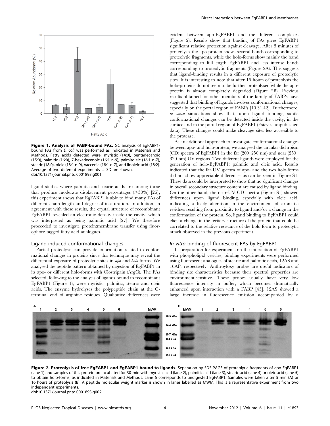

Figure 1. Analysis of FABP-bound FAs. GC analysis of EgFABP1 bound FAs from E. coli was performed as indicated in Materials and Methods. Fatty acids detected were: myristic (14:0), pentadecanoic (15:0), palmitic (16:0), 7-hexadecenoic (16:1 n-9), palmitoleic (16:1 n-7), stearic (18:0), oleic (18:1 n-9), vaccenic (18:1 n-7), and linoleic acid (18:2). Average of two different experiments  $\pm$  SD are shown. doi:10.1371/journal.pntd.0001893.g001

ligand studies where palmitic and stearic acids are among those that produce moderate displacement percentages  $($ >50%) [26], this experiment shows that EgFABP1 is able to bind many FAs of different chain length and degree of insaturation. In addition, in agreement with these results, the crystal structure of recombinant EgFABP1 revealed an electronic density inside the cavity, which was interpreted as being palmitic acid [27]. We therefore proceeded to investigate protein:membrane transfer using fluorophore-tagged fatty acid analogues.

#### Ligand-induced conformational changes

Partial proteolysis can provide information related to conformational changes in proteins since this technique may reveal the differential exposure of proteolytic sites in apo and holo forms. We analysed the peptide pattern obtained by digestion of EgFABP1 in its apo- or different holo-forms with Clostripain (ArgC). The FAs selected, following to the analysis of ligands bound to recombinant EgFABP1 (Figure 1), were myristic, palmitic, stearic and oleic acids. The enzyme hydrolyses the polypeptide chain at the Cterminal end of arginine residues. Qualitative differences were evident between apo-EgFABP1 and the different complexes (Figure 2). Results show that binding of FAs gives EgFABP1 significant relative protection against cleavage. After 5 minutes of proteolysis the apo-protein shows several bands corresponding to proteolytic fragments, while the holo-forms show mainly the band corresponding to full-length EgFABP1 and less intense bands corresponding to proteolytic fragments (Figure 2A). This suggests that ligand-binding results in a different exposure of proteolytic sites. It is interesting to note that after 16 hours of proteolysis the holo-proteins do not seem to be further proteolysed while the apoprotein is almost completely degraded (Figure 2B). Previous results obtained for other members of the family of FABPs have suggested that binding of ligands involves conformational changes, especially on the portal region of FABPs [10,31,42]. Furthermore, in silico simulations show that, upon ligand binding, subtle conformational changes can be detected inside the cavity, in the surface and in the portal region of EgFABP1 (Esteves, unpublished data). These changes could make cleavage sites less accessible to the protease.

As an additional approach to investigate conformational changes between apo- and holo-protein, we analysed the circular dichroism (CD) spectra of EgFABP1 in the far (200–250 nm) and near (250– 320 nm) UV regions. Two different ligands were employed for the generation of holo-EgFABP1: palmitic and oleic acid. Results indicated that the far-UV spectra of apo- and the two holo-forms did not show appreciable differences as can be seen in Figure S1. These data could be interpreted to show that no significant changes in overall secondary structure content are caused by ligand binding. On the other hand, the near-UV CD spectra (Figure S1) showed differences upon ligand binding, especially with oleic acid, indicating a likely alteration in the environment of aromatic residues resulting from proximity to ligand and/or a change in the conformation of the protein. So, ligand binding to EgFABP1 could elicit a change in the tertiary structure of the protein that could be correlated to the relative resistance of the holo form to proteolytic attack observed in the previous experiment.

#### In vitro binding of fluorescent FAs by EgFABP1

In preparation for experiments on the interaction of EgFABP1 with phospholipid vesicles, binding experiments were performed using fluorescent analogues of stearic and palmitic acids, 12AS and 16AP, respectively. Anthroyloxy probes are useful indicators of binding site characteristics because their spectral properties are environment-sensitive. These probes usually have very low fluorescence intensity in buffer, which becomes dramatically enhanced upon interaction with a FABP [43]. 12AS showed a large increase in fluorescence emission accompanied by a



Figure 2. Proteolysis of free EgFABP1 and EgFABP1 bound to ligands. Separation by SDS-PAGE of proteolytic fragments of apo-EgFABP1 (lane 1) and samples of this protein preincubated for 30 min with myristic acid (lane 2), palmitic acid (lane 3), stearic acid (lane 4) or oleic acid (lane 5) to obtain holo-forms, as indicated in Materials and Methods. Lane 6 corresponds to undigested EgFABP1. Samples were taken after 5 min (A) or 16 hours of proteolysis (B). A peptide molecular weight marker is shown in lanes labelled as MWM. This is a representative experiment from two independent experiments. doi:10.1371/journal.pntd.0001893.g002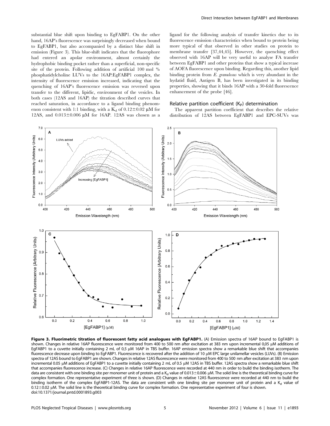substantial blue shift upon binding to EgFABP1. On the other hand, 16AP's fluorescence was surprisingly decreased when bound to EgFABP1, but also accompanied by a distinct blue shift in emission (Figure 3). This blue-shift indicates that the fluorophore had entered an apolar environment, almost certainly the hydrophobic binding pocket rather than a superficial, non-specific site of the protein. Following addition of artificial 100 mol % phosphatidylcholine LUVs to the 16AP:EgFABP1 complex, the intensity of fluorescence emission increased, indicating that the quenching of 16AP's fluorescence emission was reversed upon transfer to the different, lipidic, environment of the vesicles. In both cases (12AS and 16AP) the titration described curves that reached saturation, in accordance to a ligand binding phenomenon consistent with 1:1 binding, with a  $K_d$  of 0.12 $\pm$ 0.02 µM for 12AS, and  $0.013\pm0.006$   $\mu$ M for 16AP. 12AS was chosen as a ligand for the following analysis of transfer kinetics due to its fluorescence emission characteristics when bound to protein being more typical of that observed in other studies on protein to membrane transfer [37,44,45]. However, the quenching effect observed with 16AP will be very useful to analyse FA transfer between EgFABP1 and other proteins that show a typical increase of AOFA fluorescence upon binding. Regarding this, another lipid binding protein from E. granulosus which is very abundant in the hydatid fluid, Antigen B, has been investigated in its binding properties, showing that it binds 16AP with a 30-fold fluorescence enhancement of the probe [46].

### Relative partition coefficient  $(K_{p})$  determination

The apparent partition coefficient that describes the relative distribution of 12AS between EgFABP1 and EPC-SUVs was



Figure 3. Fluorimetric titration of fluorescent fatty acid analogues with EgFABP1. (A) Emission spectra of 16AP bound to EqFABP1 is shown. Changes in relative 16AP fluorescence were monitored from 400 to 500 nm after excitation at 383 nm upon incremental 0,05 µM additions of EgFABP1 to a cuvette initially containing 2 mL of 0,5 µM 16AP in TBS buffer. 16AP emission spectra show a remarkable blue shift that accompanies fluorescence decrease upon binding to EgFABP1. Fluorescence is recovered after the addition of 10 µM EPC large unilamellar vesicles (LUVs). (B) Emission spectra of 12AS bound to EgFABP1 are shown. Changes in relative 12AS fluorescence were monitored from 400 to 500 nm after excitation at 383 nm upon incremental 0.05 µM additions of EgFABP1 to a cuvette initially containing 2 mL of 0.5 µM 12AS in TBS buffer. 12AS spectra show a remarkable blue shift that accompanies fluorescence increase. (C) Changes in relative 16AP fluorescence were recorded at 440 nm in order to build the binding isotherm. The data are consistent with one binding site per monomer unit of protein and a K<sub>d</sub> value of 0.013 $\pm$ 0.006 µM. The solid line is the theoretical binding curve for complex formation. One representative experiment of three is shown. (D) Changes in relative 12AS fluorescence were recorded at 440 nm to build the binding isotherm of the complex EgFABP1-12AS. The data are consistent with one binding site per monomer unit of protein and a  $K_d$  value of 0.12±0.02 µM. The solid line is the theoretical binding curve for complex formation. One representative experiment of four is shown. doi:10.1371/journal.pntd.0001893.g003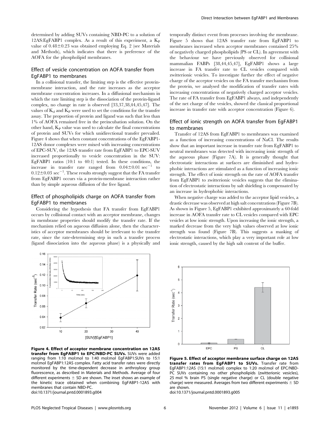determined by adding SUVs containing NBD-PC to a solution of 12AS: EgFABP1 complex. As a result of this experiment, a  $K_{P}$ value of  $0.48\pm0.23$  was obtained employing Eq. 2 (see Materials and Methods), which indicates that there is preference of the AOFA for the phospholipid membranes.

# Effect of vesicle concentration on AOFA transfer from EgFABP1 to membranes

In a collisional transfer, the limiting step is the effective proteinmembrane interaction, and the rate increases as the acceptor membrane concentration increases. In a diffusional mechanism in which the rate limiting step is the dissociation of the protein-ligand complex, no change in rate is observed [33,37,38,44,45,47]. The values of  $K_d$  and  $K_P$  were used to set the conditions for the transfer assay. The proportion of protein and ligand was such that less than 1% of AOFA remained free in the preincubation solution. On the other hand,  $K_{P}$  value was used to calculate the final concentrations of protein and SUVs for which unidirectional transfer prevailed. Figure 4 shows that when constant concentrations of the EgFABP1- 12AS donor complexes were mixed with increasing concentrations of EPC-SUV, the 12AS transfer rate from EgFABP1 to EPC-SUV increased proportionally to vesicle concentration in the SUV: EgFABP1 ratios (10:1 to 40:1) tested. In these conditions, the increase in transfer rate ranged from  $0.04 \pm 0.01$  sec<sup>-1</sup> to  $0.12\pm0.03\,\sec^{-1}$ . These results strongly suggest that the FA transfer from EgFABP1 occurs via a protein-membrane interaction rather than by simple aqueous diffusion of the free ligand.

# Effect of phospholipids charge on AOFA transfer from EgFABP1 to membranes

Considering the hypothesis that FA transfer from EgFABP1 occurs by collisional contact with an acceptor membrane, changes in membrane properties should modify the transfer rate. If the mechanism relied on aqueous diffusion alone, then the characteristics of acceptor membranes should be irrelevant to the transfer rate, since the rate-determining step in such a transfer process (ligand dissociation into the aqueous phase) is a physically and



Figure 4. Effect of acceptor membrane concentration on 12AS transfer from EgFABP1 to EPC/NBD-PC SUVs. SUVs were added ranging from 1:10 mol:mol to 1:40 mol:mol EgFABP1:SUVs to 15:1 mol:mol EgFABP1:12AS complex. Fatty acid transfer rates were directly monitored by the time-dependent decrease in anthroyloxy group fluorescence, as described in Materials and Methods. Average of four different experiments  $\pm$  SD are shown. The inset shows an example of the kinetic trace obtained when combining EgFABP1-12AS with membranes that contain NBD-PC. doi:10.1371/journal.pntd.0001893.g004

temporally distinct event from processes involving the membrane. Figure 5 shows that 12AS transfer rate from EgFABP1 to membranes increased when acceptor membranes contained 25% of negatively charged phospholipids (PS or CL). In agreement with the behaviour we have previously observed for collisional mammalian FABPs [38,44,45,47], EgFABP1 shows a large increase in FA transfer rate to CL vesicles compared with zwitterionic vesicles. To investigate further the effect of negative charge of the acceptor vesicles on the FA transfer mechanism from the protein, we analysed the modification of transfer rates with increasing concentrations of negatively charged acceptor vesicles. The rate of FA transfer from EgFABP1 always, and independently of the net charge of the vesicles, showed the classical proportional increase in transfer rate with acceptor concentration (Figure 6).

# Effect of ionic strength on AOFA transfer from EgFABP1 to membranes

Transfer of 12AS from EgFABP1 to membranes was examined as a function of increasing concentrations of NaCl. The results show that an important increase in transfer rate from EgFABP1 to neutral membranes was detected with increasing ionic strength of the aqueous phase (Figure 7A). It is generally thought that electrostatic interactions at surfaces are diminished and hydrophobic interactions are stimulated as a function of increasing ionic strength. The effect of ionic strength on the rate of AOFA transfer from EgFABP1 to zwitterionic vesicles suggests that the elimination of electrostatic interactions by salt shielding is compensated by an increase in hydrophobic interactions.

When negative charge was added to the acceptor lipid vesicles, a drastic decrease was observed at high salt concentrations (Figure 7B). As shown in Figure 5, EgFABP1 exhibited approximately a 60-fold increase in AOFA transfer rate to CL vesicles compared with EPC vesicles at low ionic strength. Upon increasing the ionic strength, a marked decrease from the very high values observed at low ionic strength was found (Figure 7B). This suggests a masking of electrostatic interactions, which play a very important role at low ionic strength, caused by the high salt content of the buffer.



Figure 5. Effect of acceptor membrane surface charge on 12AS transfer rates from EgFABP1 to SUVs. Transfer rate from EgFABP1:12AS (15:1 mol:mol) complex to 1:20 mol:mol of EPC/NBD-PC SUVs containing no other phospholipids (zwitterionic vesicles), 25 mol % brain PS (single negative charge) or CL (double negative charge) were measured. Averages from two different experiments  $\pm$  SD are shown.

doi:10.1371/journal.pntd.0001893.g005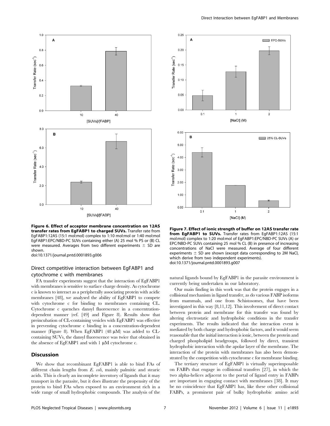

Figure 6. Effect of acceptor membrane concentration on 12AS transfer rates from EgFABP1 to charged SUVs. Transfer rate from EgFABP1:12AS (15:1 mol:mol) complex to 1:10 mol:mol or 1:40 mol:mol EgFABP1:EPC/NBD-PC SUVs containing either (A) 25 mol % PS or (B) CL were measured. Averages from two different experiments  $\pm$  SD are shown.

doi:10.1371/journal.pntd.0001893.g006

# Direct competitive interaction between EgFABP1 and cytochrome c with membranes

FA transfer experiments suggest that the interaction of EgFABP1 with membranes is sensitive to surface charge density. As cytochrome c is known to interact as a peripherally associating protein with acidic membranes [48], we analysed the ability of EgFABP1 to compete with cytochrome c for binding to membranes containing CL. Cytochrome c quenches dansyl fluorescence in a concentrationdependent manner (ref. [49] and Figure 8). Results show that preincubation of CL-containing vesicles with EgFABP1 was effective in preventing cytochrome c binding in a concentration-dependent manner (Figure 8). When EgFABP1 (48 µM) was added to CLcontaining SUVs, the dansyl fluorescence was twice that obtained in the absence of EgFABP1 and with  $1 \mu M$  cytochrome c.

## Discussion

We show that recombinant EgFABP1 is able to bind FAs of different chain lengths from E. coli, mainly palmitic and stearic acids. This is clearly an incomplete inventory of ligands that it may transport in the parasite, but it does illustrate the propensity of the protein to bind FAs when exposed to an environment rich in a wide range of small hydrophobic compounds. The analysis of the



Figure 7. Effect of ionic strength of buffer on 12AS transfer rate from EgFABP1 to SUVs. Transfer rates from EgFABP1:12AS (15:1 mol:mol) complex to 1:20 mol:mol of EgFABP1:EPC/NBD-PC SUVs (A) or EPC/NBD-PC SUVs containing 25 mol % CL (B) in presence of increasing concentrations of NaCl were measured. Average of four different experiments  $\pm$  SD are shown (except data corresponding to 2M NaCl, which derive from two independent experiments). doi:10.1371/journal.pntd.0001893.g007

natural ligands bound by EgFABP1 in the parasite environment is currently being undertaken in our laboratory.

Our main finding in this work was that the protein engages in a collisional mechanism in ligand transfer, as do various FABP isoforms from mammals, and one from Schistosomes, that have been investigated in this way [8,11,12]. This involvement of direct contact between protein and membrane for this transfer was found by altering electrostatic and hydrophobic conditions in the transfer experiments. The results indicated that the interaction event is mediated by both charge and hydrophobic factors, and it would seem reasonable that the initial interaction is ionic, between the protein and charged phospholipid headgroups, followed by direct, transient hydrophobic interaction with the apolar layer of the membrane. The interaction of the protein with membranes has also been demonstrated by the competition with cytochrome c for membrane binding.

The tertiary structure of EgFABP1 is virtually superimposable on FABPs that engage in collisional transfers [27], in which the two alpha-helices adjacent to the portal of ligand entry in FABPs are important in engaging contact with membranes [38]. It may be no coincidence that EgFABP1 has, like these other collisional FABPs, a prominent pair of bulky hydrophobic amino acid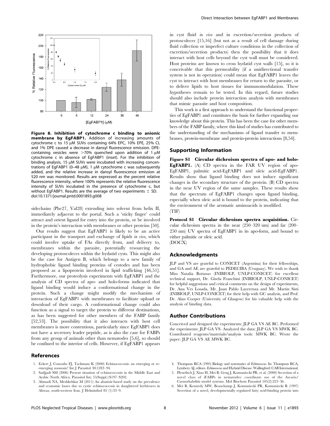

Figure 8. Inhibition of cytochrome c binding to anionic membrane by EgFABP1. Addition of increasing amounts of cytochrome c to  $15 \mu$ M SUVs containing 64% EPC,  $10\%$  EPE, 25% CL and 1% DPE caused a decrease in dansyl fluorescence emission. DPEcontaining vesicles were  $>70\%$  quenched upon addition of 1  $\mu$ M cytochrome c in absence of EgFABP1 (inset). For the inhibition of binding analysis, 15  $\mu$ M SUVs were incubated with increasing concentrations of EgFABP1 (0-48  $\mu$ M), 1  $\mu$ M cytochrome c was subsequently added, and the relative increase in dansyl fluorescence emission at 520 nm was monitored. Results are expressed as the percent relative fluorescence intensity, where 100% represents the relative fluorescence intensity of SUVs incubated in the presence of cytochrome c, but without EgFABP1. Results are the average of two experiments  $\pm$  SD. doi:10.1371/journal.pntd.0001893.g008

sidechains (Phe27, Val28) extending into solvent from helix II, immediately adjacent to the portal. Such a 'sticky finger' could attract and orient ligand for entry into the protein, or be involved in the protein's interaction with membranes or other proteins [50].

Our results suggest that EgFABP1 is likely to be an active participant in the transport and exchange of lipids in vivo, which could involve uptake of FAs directly from, and delivery to, membranes within the parasite, potentially resourcing the developing protoscoleces within the hydatid cysts. This might also be the case for Antigen B, which belongs to a new family of hydrophobic ligand binding proteins of cestodes and has been proposed as a lipoprotein involved in lipid trafficking [46,51]. Furthermore, our proteolysis experiments with EgFABP1 and the analysis of CD spectra of apo- and holo-forms indicated that ligand binding would induce a conformational change in the protein. Such a change might modify the mechanism of interaction of EgFABP1 with membranes to facilitate upload or download of their cargo. A conformational change could also function as a signal to target the protein to different destinations, as has been suggested for other members of the FABP family [52,53]. The possibility that it also interacts with host cell membranes is more contentious, particularly since EgFABP1 does not have a secretory leader peptide, as is also the case for FABPs from any group of animals other than nematodes [5,6], so should be confined to the interior of cells. However, if EgFABP1 appears

#### References

- 1. Eckert J, Conraths FJ, Tackmam K (2000) Echinococcosis: an emerging or reemerging zoonosis? Int J Parasitol 30:1283–94.
- 2. Sadjjadi SM (2006) Present situation of echinococcosis in the Middle East and Arabic North Africa. Parasitol Int; 55(Suppl.):S197–S202.
- 3. Ahmadi NA, Meshkehkar M (2011) An abattoir-based study on the prevalence and economic losses due to cystic echinococcosis in slaughtered herbivores in Ahwaz, south-western Iran. J Helminthol 85 (1):33–9.

in cyst fluid in vivo and in excretion/secretion products of protoscoleces [15,16] (but not as a result of cell damage during fluid collection or imperfect culture conditions in the collection of excretion/secretion products) then the possibility that it does interact with host cells beyond the cyst wall must be considered. Host proteins are known to cross hydatid cyst walls [15], so it is conceivable that this permeability (if a unidirectional transfer system is not in operation) could mean that EgFABP1 leaves the cyst to interact with host membranes for return to the parasite, or to deliver lipids to host tissues for immunomodulation. These hypotheses remain to be tested. In this regard, future studies should also include protein interaction analysis with membranes that mimic parasite and host composition.

This work is a first approach to understand the functional properties of EgFABP1 and constitutes the basis for further expanding our knowledge about this protein. This has been the case for other members of the FABP family, where this kind of studies has contributed to the understanding of the mechanisms of ligand transfer to membranes, protein-membrane and protein-protein interactions [8,54].

#### Supporting Information

Figure S1 Circular dichroism spectra of apo- and holo-EgFABP1. (A) CD spectra in the FAR UV region of apo-EgFABP1, palmitic acid-EgFABP1 and oleic acid-EgFABP1. Results show that ligand binding does not induce significant changes in the secondary structure of the protein. (B) CD spectra in the near UV region of the same samples. These results show that the spectrum of EgFABP1 changes upon ligand binding, especially when oleic acid is bound to the protein, indicating that the environment of the aromatic aminoacids is modified. (TIF)

Protocol S1 Circular dichroism spectra acquisition. Circular dichroism spectra in the near (250–320 nm) and far (200– 250 nm) UV spectra of EgFABP1 in its apo-form, and bound to either palmitic or oleic acid. (DOCX)

#### Acknowledgments

JLP and VS are grateful to CONICET (Argentina) for their fellowships, and GA and AE are grateful to PEDECIBA (Uruguay). We wish to thank Miss Natalia Bottasso (INIBIOLP, UNLP-CONICET) for excellent technical support, Dr. Gisela Franchini (INIBIOLP, UNLP-CONICET) for helpful suggestions and critical comments on the design of experiments, Dr. Ana Ves Losada, Mr. Juan Pablo Layerenza and Mr. Martín Sisti (INIBIOLP, UNLP-CONICET) for their help with GC analysis, and Prof. Dr. Alan Cooper (University of Glasgow) for his valuable help with the analysis of binding data.

#### Author Contributions

Conceived and designed the experiments: JLP GA VS AE BC. Performed the experiments: JLP GA VS. Analyzed the data: JLP GA VS MWK BC. Contributed reagents/materials/analysis tools: MWK BC. Wrote the paper: JLP GA VS AE MWK BC.

- 4. Thompson RCA (1995) Biology and systematics of Echinococcus. In: Thompson RCA, Lymbery AJ, editors. Echinococcus and Hydatid Disease. Wallingford: CAB International.
- 5. Plenefisch J, Xiao H, Mei B, Geng J, Komuniecki PR, et al. (2000) Secretion of a novel class of iFABPs in nematodes: coordinate use of the Ascaris/ Caenorhabditis model systems. Mol Biochem Parasitol 105(2):223–36.
- 6. Mei B, Kennedy MW, Beauchamp J, Komuniecki PR, Komuniecki R (1997) Secretion of a novel, developmentally regulated fatty acid-binding protein into